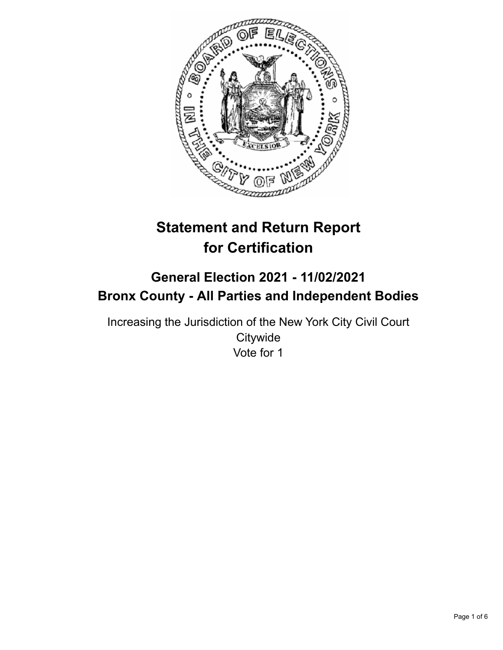

# **Statement and Return Report for Certification**

# **General Election 2021 - 11/02/2021 Bronx County - All Parties and Independent Bodies**

Increasing the Jurisdiction of the New York City Civil Court **Citywide** Vote for 1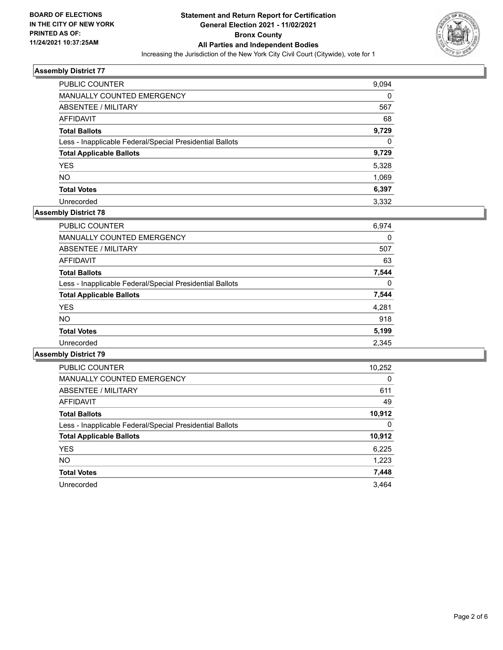

| <b>PUBLIC COUNTER</b>                                    | 9,094    |
|----------------------------------------------------------|----------|
| <b>MANUALLY COUNTED EMERGENCY</b>                        | 0        |
| <b>ABSENTEE / MILITARY</b>                               | 567      |
| AFFIDAVIT                                                | 68       |
| <b>Total Ballots</b>                                     | 9,729    |
| Less - Inapplicable Federal/Special Presidential Ballots | $\Omega$ |
| <b>Total Applicable Ballots</b>                          | 9,729    |
| <b>YES</b>                                               | 5,328    |
| <b>NO</b>                                                | 1,069    |
| <b>Total Votes</b>                                       | 6,397    |
| Unrecorded                                               | 3.332    |

# **Assembly District 78**

| <b>PUBLIC COUNTER</b>                                    | 6,974    |
|----------------------------------------------------------|----------|
| <b>MANUALLY COUNTED EMERGENCY</b>                        | 0        |
| ABSENTEE / MILITARY                                      | 507      |
| AFFIDAVIT                                                | 63       |
| <b>Total Ballots</b>                                     | 7.544    |
| Less - Inapplicable Federal/Special Presidential Ballots | $\Omega$ |
| <b>Total Applicable Ballots</b>                          | 7,544    |
| <b>YES</b>                                               | 4,281    |
| <b>NO</b>                                                | 918      |
| <b>Total Votes</b>                                       | 5,199    |
| Unrecorded                                               | 2,345    |
|                                                          |          |

| <b>PUBLIC COUNTER</b>                                    | 10,252   |
|----------------------------------------------------------|----------|
| <b>MANUALLY COUNTED EMERGENCY</b>                        | $\Omega$ |
| ABSENTEE / MILITARY                                      | 611      |
| <b>AFFIDAVIT</b>                                         | 49       |
| <b>Total Ballots</b>                                     | 10,912   |
| Less - Inapplicable Federal/Special Presidential Ballots | 0        |
| <b>Total Applicable Ballots</b>                          | 10,912   |
| <b>YES</b>                                               | 6,225    |
| <b>NO</b>                                                | 1,223    |
| <b>Total Votes</b>                                       | 7,448    |
| Unrecorded                                               | 3.464    |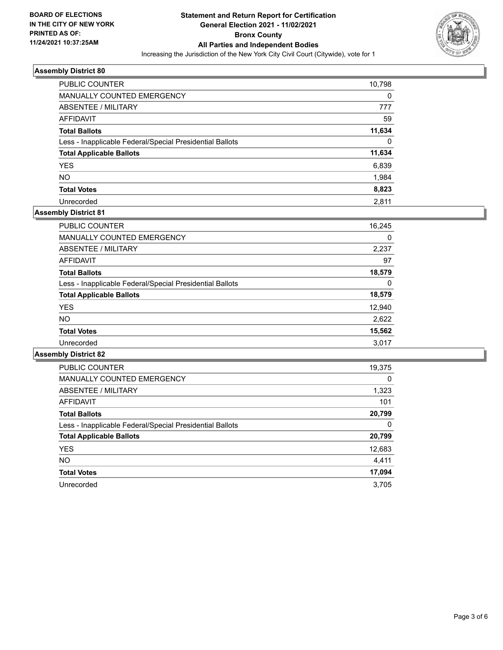

| <b>PUBLIC COUNTER</b>                                    | 10,798   |
|----------------------------------------------------------|----------|
| <b>MANUALLY COUNTED EMERGENCY</b>                        | 0        |
| ABSENTEE / MILITARY                                      | 777      |
| AFFIDAVIT                                                | 59       |
| <b>Total Ballots</b>                                     | 11,634   |
| Less - Inapplicable Federal/Special Presidential Ballots | $\Omega$ |
| <b>Total Applicable Ballots</b>                          | 11,634   |
| <b>YES</b>                                               | 6,839    |
| <b>NO</b>                                                | 1,984    |
| <b>Total Votes</b>                                       | 8,823    |
| Unrecorded                                               | 2.811    |

# **Assembly District 81**

| <b>PUBLIC COUNTER</b>                                    | 16,245 |
|----------------------------------------------------------|--------|
| <b>MANUALLY COUNTED EMERGENCY</b>                        | 0      |
| ABSENTEE / MILITARY                                      | 2,237  |
| AFFIDAVIT                                                | 97     |
| <b>Total Ballots</b>                                     | 18,579 |
| Less - Inapplicable Federal/Special Presidential Ballots | 0      |
| <b>Total Applicable Ballots</b>                          | 18,579 |
| <b>YES</b>                                               | 12,940 |
| NO.                                                      | 2,622  |
| <b>Total Votes</b>                                       | 15,562 |
| Unrecorded                                               | 3.017  |

| <b>PUBLIC COUNTER</b>                                    | 19,375   |
|----------------------------------------------------------|----------|
| <b>MANUALLY COUNTED EMERGENCY</b>                        | $\Omega$ |
| ABSENTEE / MILITARY                                      | 1,323    |
| <b>AFFIDAVIT</b>                                         | 101      |
| <b>Total Ballots</b>                                     | 20,799   |
| Less - Inapplicable Federal/Special Presidential Ballots | 0        |
| <b>Total Applicable Ballots</b>                          | 20,799   |
| <b>YES</b>                                               | 12,683   |
| NO.                                                      | 4.411    |
| <b>Total Votes</b>                                       | 17,094   |
| Unrecorded                                               | 3.705    |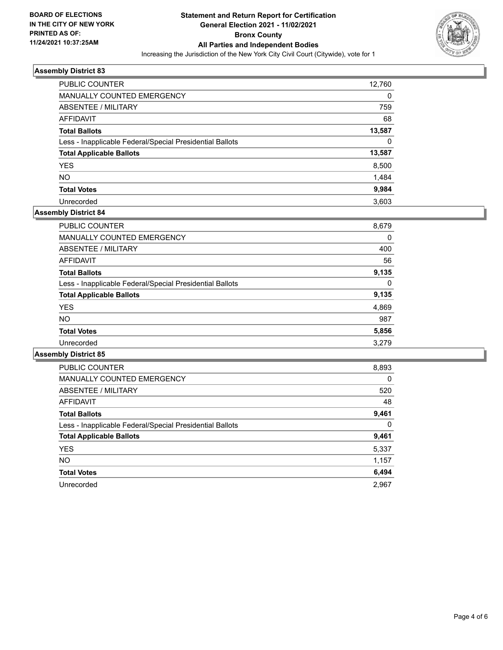

| <b>PUBLIC COUNTER</b>                                    | 12,760   |
|----------------------------------------------------------|----------|
| MANUALLY COUNTED EMERGENCY                               | $\Omega$ |
| ABSENTEE / MILITARY                                      | 759      |
| AFFIDAVIT                                                | 68       |
| <b>Total Ballots</b>                                     | 13,587   |
| Less - Inapplicable Federal/Special Presidential Ballots | $\Omega$ |
| <b>Total Applicable Ballots</b>                          | 13,587   |
| <b>YES</b>                                               | 8,500    |
| <b>NO</b>                                                | 1,484    |
| <b>Total Votes</b>                                       | 9,984    |
| Unrecorded                                               | 3.603    |

#### **Assembly District 84**

| <b>PUBLIC COUNTER</b>                                    | 8,679 |
|----------------------------------------------------------|-------|
| <b>MANUALLY COUNTED EMERGENCY</b>                        | 0     |
| ABSENTEE / MILITARY                                      | 400   |
| AFFIDAVIT                                                | 56    |
| <b>Total Ballots</b>                                     | 9.135 |
| Less - Inapplicable Federal/Special Presidential Ballots | 0     |
| <b>Total Applicable Ballots</b>                          | 9,135 |
| <b>YES</b>                                               | 4,869 |
| <b>NO</b>                                                | 987   |
| <b>Total Votes</b>                                       | 5,856 |
| Unrecorded                                               | 3.279 |

| <b>PUBLIC COUNTER</b>                                    | 8,893    |
|----------------------------------------------------------|----------|
| <b>MANUALLY COUNTED EMERGENCY</b>                        | 0        |
| ABSENTEE / MILITARY                                      | 520      |
| <b>AFFIDAVIT</b>                                         | 48       |
| <b>Total Ballots</b>                                     | 9,461    |
| Less - Inapplicable Federal/Special Presidential Ballots | $\Omega$ |
| <b>Total Applicable Ballots</b>                          | 9,461    |
| <b>YES</b>                                               | 5,337    |
| <b>NO</b>                                                | 1,157    |
| <b>Total Votes</b>                                       | 6,494    |
| Unrecorded                                               | 2.967    |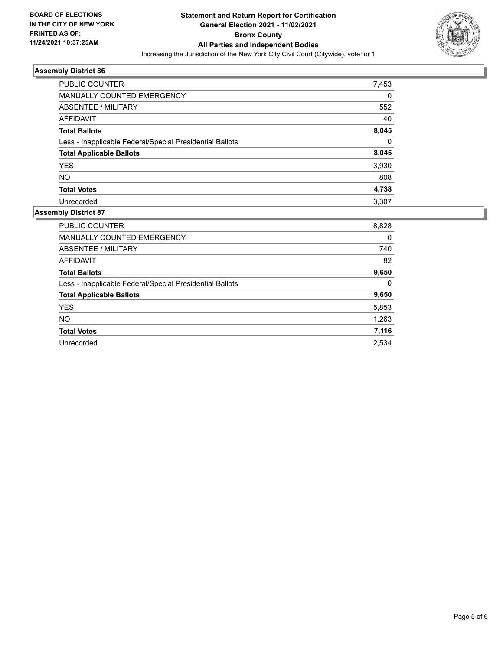

| <b>PUBLIC COUNTER</b>                                    | 7,453    |
|----------------------------------------------------------|----------|
| <b>MANUALLY COUNTED EMERGENCY</b>                        | 0        |
| ABSENTEE / MILITARY                                      | 552      |
| AFFIDAVIT                                                | 40       |
| <b>Total Ballots</b>                                     | 8,045    |
| Less - Inapplicable Federal/Special Presidential Ballots | $\Omega$ |
| <b>Total Applicable Ballots</b>                          | 8,045    |
| <b>YES</b>                                               | 3,930    |
| <b>NO</b>                                                | 808      |
| <b>Total Votes</b>                                       | 4,738    |
| Unrecorded                                               | 3.307    |

| PUBLIC COUNTER                                           | 8,828 |
|----------------------------------------------------------|-------|
| <b>MANUALLY COUNTED EMERGENCY</b>                        | 0     |
| ABSENTEE / MILITARY                                      | 740   |
| <b>AFFIDAVIT</b>                                         | 82    |
| <b>Total Ballots</b>                                     | 9,650 |
| Less - Inapplicable Federal/Special Presidential Ballots | 0     |
| <b>Total Applicable Ballots</b>                          | 9,650 |
| <b>YES</b>                                               | 5,853 |
| <b>NO</b>                                                | 1,263 |
| <b>Total Votes</b>                                       | 7,116 |
| Unrecorded                                               | 2.534 |